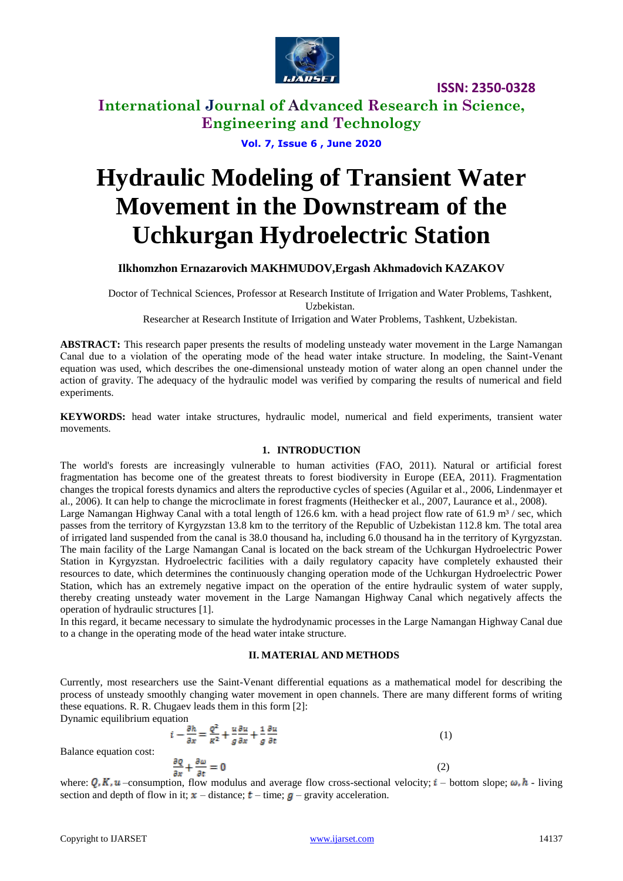

**International Journal of Advanced Research in Science, Engineering and Technology**

**Vol. 7, Issue 6 , June 2020**

# **Hydraulic Modeling of Transient Water Movement in the Downstream of the Uchkurgan Hydroelectric Station**

**Ilkhomzhon Ernazarovich MAKHMUDOV,Ergash Akhmadovich KAZAKOV**

Doctor of Technical Sciences, Professor at Research Institute of Irrigation and Water Problems, Tashkent, Uzbekistan.

Researcher at Research Institute of Irrigation and Water Problems, Tashkent, Uzbekistan.

**ABSTRACT:** This research paper presents the results of modeling unsteady water movement in the Large Namangan Сanal due to a violation of the operating mode of the head water intake structure. In modeling, the Saint-Venant equation was used, which describes the one-dimensional unsteady motion of water along an open channel under the action of gravity. The adequacy of the hydraulic model was verified by comparing the results of numerical and field experiments.

**KEYWORDS:** head water intake structures, hydraulic model, numerical and field experiments, transient water movements.

#### **1. INTRODUCTION**

The world's forests are increasingly vulnerable to human activities (FAO, 2011). Natural or artificial forest fragmentation has become one of the greatest threats to forest biodiversity in Europe (EEA, 2011). Fragmentation changes the tropical forests dynamics and alters the reproductive cycles of species (Aguilar et al., 2006, Lindenmayer et al., 2006). It can help to change the microclimate in forest fragments (Heithecker et al., 2007, Laurance et al., 2008). Large Namangan Highway Canal with a total length of 126.6 km. with a head project flow rate of 61.9  $m<sup>3</sup>$ / sec, which passes from the territory of Kyrgyzstan 13.8 km to the territory of the Republic of Uzbekistan 112.8 km. The total area of irrigated land suspended from the canal is 38.0 thousand ha, including 6.0 thousand ha in the territory of Kyrgyzstan. The main facility of the Large Namangan Canal is located on the back stream of the Uchkurgan Hydroelectric Power Station in Kyrgyzstan. Hydroelectric facilities with a daily regulatory capacity have completely exhausted their resources to date, which determines the continuously changing operation mode of the Uchkurgan Hydroelectric Power Station, which has an extremely negative impact on the operation of the entire hydraulic system of water supply, thereby creating unsteady water movement in the Large Namangan Highway Canal which negatively affects the operation of hydraulic structures [1].

In this regard, it became necessary to simulate the hydrodynamic processes in the Large Namangan Highway Canal due to a change in the operating mode of the head water intake structure.

#### **II. MATERIAL AND METHODS**

Currently, most researchers use the Saint-Venant differential equations as a mathematical model for describing the process of unsteady smoothly changing water movement in open channels. There are many different forms of writing these equations. R. R. Chugaev leads them in this form [2]:

Dynamic equilibrium equation<br> $i - \frac{\partial h}{\partial x} = \frac{Q^2}{R^2} + \frac{u}{\sigma} \frac{\partial u}{\partial x} + \frac{1}{\sigma} \frac{\partial u}{\partial t}$ (1)

Balance equation cost:

$$
\frac{\partial}{\partial t} + \frac{\partial \omega}{\partial t} = 0
$$

where:  $Q, K, u$  -consumption, flow modulus and average flow cross-sectional velocity;  $i$  – bottom slope;  $\omega, h$  - living section and depth of flow in it;  $\mathbf{x}$  – distance;  $\mathbf{t}$  – time;  $\mathbf{g}$  – gravity acceleration.

(2)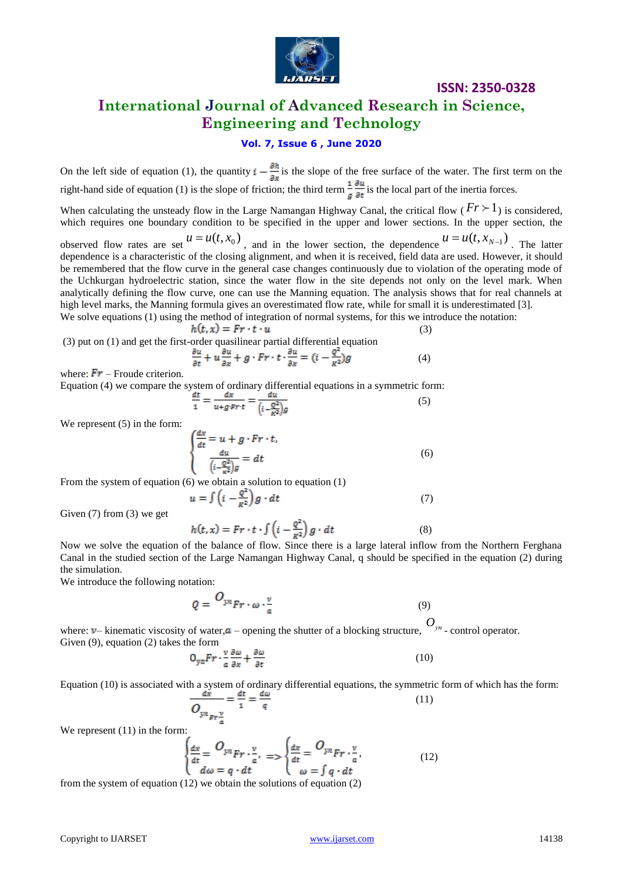

# **International Journal of Advanced Research in Science, Engineering and Technology**

## **Vol. 7, Issue 6 , June 2020**

On the left side of equation (1), the quantity  $i = \frac{\sigma n}{n}$  is the slope of the free surface of the water. The first term on the right-hand side of equation (1) is the slope of friction; the third term  $\frac{1}{2}$  is the local part of the inertia forces.

When calculating the unsteady flow in the Large Namangan Highway Canal, the critical flow  $(Fr \geq 1)$  is considered, which requires one boundary condition to be specified in the upper and lower sections. In the upper section, the

observed flow rates are set  $u = u(t, x_0)$ , and in the lower section, the dependence  $u = u(t, x_{N-1})$ . The latter dependence is a characteristic of the closing alignment, and when it is received, field data are used. However, it should be remembered that the flow curve in the general case changes continuously due to violation of the operating mode of the Uchkurgan hydroelectric station, since the water flow in the site depends not only on the level mark. When analytically defining the flow curve, one can use the Manning equation. The analysis shows that for real channels at high level marks, the Manning formula gives an overestimated flow rate, while for small it is underestimated [3].

We solve equations (1) using the method of integration of normal systems, for this we introduce the notation: (3)

$$
h(t,x)=Fr\cdot t\cdot u
$$

(3) put on (1) and get the first-order quasilinear partial differential equation

$$
\frac{\partial u}{\partial t} + u \frac{\partial u}{\partial x} + g \cdot Fr \cdot t \cdot \frac{\partial u}{\partial x} = (i - \frac{Q^2}{R^2})g
$$
(4)

where:  $\mathbf{Fr}$  – Froude criterion.

Equation (4) we compare the system of ordinary differential equations in a symmetric form:

$$
\frac{at}{1} = \frac{ax}{u + g \cdot Fr \cdot t} = \frac{au}{\left(i - \frac{Q^2}{K^2}\right)g} \tag{5}
$$

We represent  $(5)$  in the form:

$$
\frac{dx}{dt} = u + g \cdot Fr \cdot t,
$$
  

$$
\frac{du}{\left(i - \frac{Q^2}{\kappa^2}\right)g} = dt
$$
 (6)

From the system of equation (6) we obtain a solution to equation (1)

$$
u = \int \left(i - \frac{Q^2}{R^2}\right) g \cdot dt \tag{7}
$$

Given (7) from (3) we get

$$
h(t, x) = Fr \cdot t \cdot \int \left(i - \frac{q^2}{\kappa^2}\right) g \cdot dt \tag{8}
$$

Now we solve the equation of the balance of flow. Since there is a large lateral inflow from the Northern Ferghana Canal in the studied section of the Large Namangan Highway Canal, q should be specified in the equation (2) during the simulation.

We introduce the following notation:

$$
Q = \frac{O_{y n}}{F r \cdot \omega \cdot \frac{v}{a}} \tag{9}
$$

where:  $v$ – kinematic viscosity of water,  $a$  – opening the shutter of a blocking structure,  $O_{y_n}$  - control operator. Given (9), equation (2) takes the form

$$
O_{yn}Fr \cdot \frac{v}{a} \frac{\partial \omega}{\partial x} + \frac{\partial \omega}{\partial t} \tag{10}
$$

Equation (10) is associated with a system of ordinary differential equations, the symmetric form of which has the form:

$$
\frac{dx}{Q_{yn_{pr\frac{v}{a}}}} = \frac{dt}{1} = \frac{uw}{q}
$$
\n(11)

We represent  $(11)$  in the form:

$$
\begin{cases}\n\frac{dx}{dt} = O_{y^n} F r \cdot \frac{v}{a}, \\
d\omega = q \cdot dt\n\end{cases} = \begin{cases}\n\frac{dx}{dt} = O_{y^n} F r \cdot \frac{v}{a}, \\
\omega = \int q \cdot dt\n\end{cases} \tag{12}
$$

from the system of equation (12) we obtain the solutions of equation (2)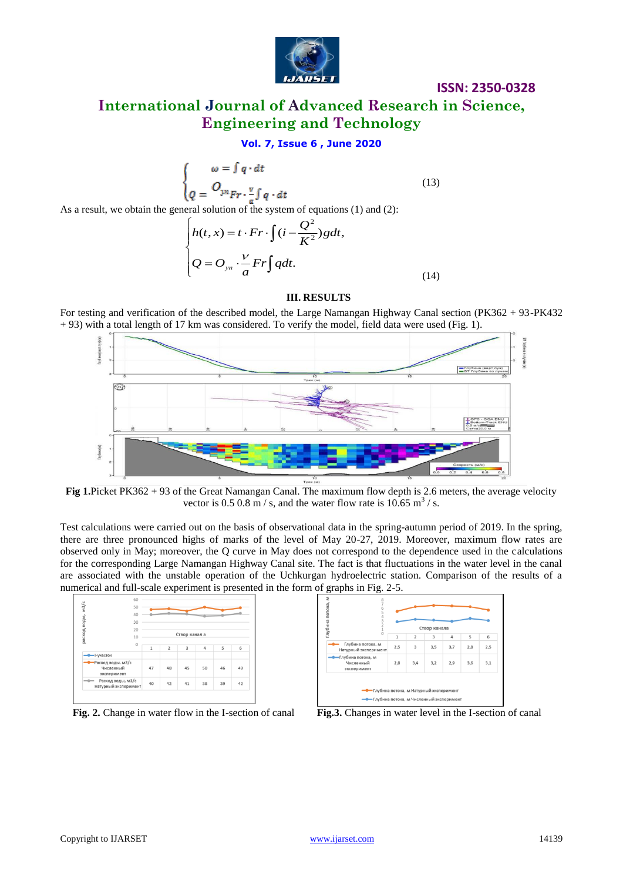

# **International Journal of Advanced Research in Science, Engineering and Technology**

## **Vol. 7, Issue 6 , June 2020**

$$
\begin{cases}\n\omega = \int q \cdot dt \\
Q = \frac{O_{yn}}{Fr \cdot \frac{v}{a} \int q \cdot dt}\n\end{cases} (13)
$$

As a result, we obtain the general solution of the system of equations (1) and (2):

$$
\begin{cases}\nh(t, x) = t \cdot Fr \cdot \int (i - \frac{Q^2}{K^2}) g dt, \\
Q = O_{yn} \cdot \frac{V}{a} Fr \int q dt.\n\end{cases}
$$
\n(14)

#### **III. RESULTS**

For testing and verification of the described model, the Large Namangan Highway Canal section (PK362 + 93-PK432 + 93) with a total length of 17 km was considered. To verify the model, field data were used (Fig. 1).



**Fig 1.**Picket PK362 + 93 of the Great Namangan Canal. The maximum flow depth is 2.6 meters, the average velocity vector is 0.5 0.8 m/s, and the water flow rate is  $10.65$  m<sup>3</sup>/s.

Test calculations were carried out on the basis of observational data in the spring-autumn period of 2019. In the spring, there are three pronounced highs of marks of the level of May 20-27, 2019. Moreover, maximum flow rates are observed only in May; moreover, the Q curve in May does not correspond to the dependence used in the calculations for the corresponding Large Namangan Highway Canal site. The fact is that fluctuations in the water level in the canal are associated with the unstable operation of the Uchkurgan hydroelectric station. Comparison of the results of a numerical and full-scale experiment is presented in the form of graphs in Fig. 2-5.

|                                               | 50       |               |                |    |    |    |    |
|-----------------------------------------------|----------|---------------|----------------|----|----|----|----|
|                                               | 40       |               |                |    |    |    |    |
|                                               | 30       |               |                |    |    |    |    |
| расход воды, м3/с                             | 20<br>10 | Створ канал а |                |    |    |    |    |
|                                               | $\circ$  | $\mathbf{1}$  | $\overline{2}$ | 3  | 4  | 5  | 6  |
| -I-участок                                    |          |               |                |    |    |    |    |
| Расход воды, м3/с<br>Численный<br>эксперимент |          | 47            | 48             | 45 | 50 | 46 | 49 |
| Расход воды, м3/с<br>Натурный эксперимент     |          | 40            | 42             | 41 | 38 | 39 | 42 |



**Fig. 2.** Change in water flow in the I-section of canal **Fig.3.** Changes in water level in the I-section of canal